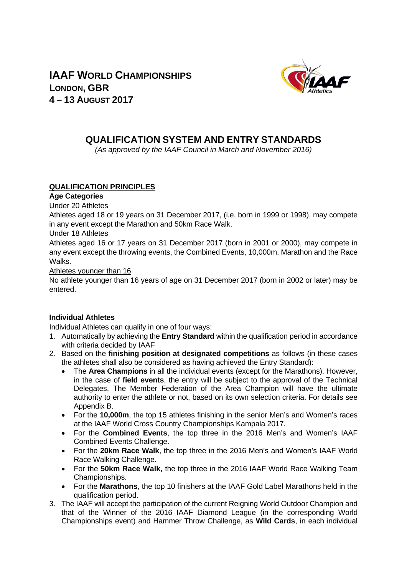



# **QUALIFICATION SYSTEM AND ENTRY STANDARDS**

*(As approved by the IAAF Council in March and November 2016)* 

# **QUALIFICATION PRINCIPLES**

# **Age Categories**

# Under 20 Athletes

Athletes aged 18 or 19 years on 31 December 2017, (i.e. born in 1999 or 1998), may compete in any event except the Marathon and 50km Race Walk.

# Under 18 Athletes

Athletes aged 16 or 17 years on 31 December 2017 (born in 2001 or 2000), may compete in any event except the throwing events, the Combined Events, 10,000m, Marathon and the Race Walks.

#### Athletes younger than 16

No athlete younger than 16 years of age on 31 December 2017 (born in 2002 or later) may be entered.

# **Individual Athletes**

Individual Athletes can qualify in one of four ways:

- 1. Automatically by achieving the **Entry Standard** within the qualification period in accordance with criteria decided by IAAF
- 2. Based on the **finishing position at designated competitions** as follows (in these cases the athletes shall also be considered as having achieved the Entry Standard):
	- The **Area Champions** in all the individual events (except for the Marathons). However, in the case of **field events**, the entry will be subject to the approval of the Technical Delegates. The Member Federation of the Area Champion will have the ultimate authority to enter the athlete or not, based on its own selection criteria. For details see Appendix B.
	- For the **10,000m**, the top 15 athletes finishing in the senior Men's and Women's races at the IAAF World Cross Country Championships Kampala 2017.
	- For the **Combined Events**, the top three in the 2016 Men's and Women's IAAF Combined Events Challenge.
	- For the **20km Race Walk**, the top three in the 2016 Men's and Women's IAAF World Race Walking Challenge.
	- For the **50km Race Walk,** the top three in the 2016 IAAF World Race Walking Team Championships.
	- For the **Marathons**, the top 10 finishers at the IAAF Gold Label Marathons held in the qualification period.
- 3. The IAAF will accept the participation of the current Reigning World Outdoor Champion and that of the Winner of the 2016 IAAF Diamond League (in the corresponding World Championships event) and Hammer Throw Challenge, as **Wild Cards**, in each individual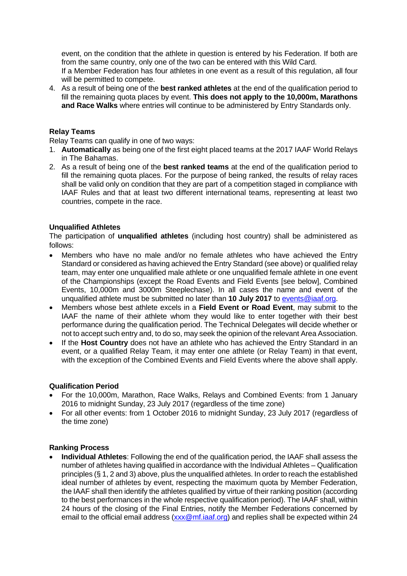event, on the condition that the athlete in question is entered by his Federation. If both are from the same country, only one of the two can be entered with this Wild Card.

If a Member Federation has four athletes in one event as a result of this regulation, all four will be permitted to compete.

4. As a result of being one of the **best ranked athletes** at the end of the qualification period to fill the remaining quota places by event. **This does not apply to the 10,000m, Marathons and Race Walks** where entries will continue to be administered by Entry Standards only.

# **Relay Teams**

Relay Teams can qualify in one of two ways:

- 1. **Automatically** as being one of the first eight placed teams at the 2017 IAAF World Relays in The Bahamas.
- 2. As a result of being one of the **best ranked teams** at the end of the qualification period to fill the remaining quota places. For the purpose of being ranked, the results of relay races shall be valid only on condition that they are part of a competition staged in compliance with IAAF Rules and that at least two different international teams, representing at least two countries, compete in the race.

# **Unqualified Athletes**

The participation of **unqualified athletes** (including host country) shall be administered as follows:

- Members who have no male and/or no female athletes who have achieved the Entry Standard or considered as having achieved the Entry Standard (see above) or qualified relay team, may enter one unqualified male athlete or one unqualified female athlete in one event of the Championships (except the Road Events and Field Events [see below], Combined Events, 10,000m and 3000m Steeplechase). In all cases the name and event of the unqualified athlete must be submitted no later than **10 July 2017** to events@iaaf.org.
- Members whose best athlete excels in a **Field Event or Road Event**, may submit to the IAAF the name of their athlete whom they would like to enter together with their best performance during the qualification period. The Technical Delegates will decide whether or not to accept such entry and, to do so, may seek the opinion of the relevant Area Association.
- If the **Host Country** does not have an athlete who has achieved the Entry Standard in an event, or a qualified Relay Team, it may enter one athlete (or Relay Team) in that event, with the exception of the Combined Events and Field Events where the above shall apply.

#### **Qualification Period**

- For the 10,000m, Marathon, Race Walks, Relays and Combined Events: from 1 January 2016 to midnight Sunday, 23 July 2017 (regardless of the time zone)
- For all other events: from 1 October 2016 to midnight Sunday, 23 July 2017 (regardless of the time zone)

#### **Ranking Process**

 **Individual Athletes**: Following the end of the qualification period, the IAAF shall assess the number of athletes having qualified in accordance with the Individual Athletes – Qualification principles (§ 1, 2 and 3) above, plus the unqualified athletes. In order to reach the established ideal number of athletes by event, respecting the maximum quota by Member Federation, the IAAF shall then identify the athletes qualified by virtue of their ranking position (according to the best performances in the whole respective qualification period). The IAAF shall, within 24 hours of the closing of the Final Entries, notify the Member Federations concerned by email to the official email address (xxx@mf.iaaf.org) and replies shall be expected within 24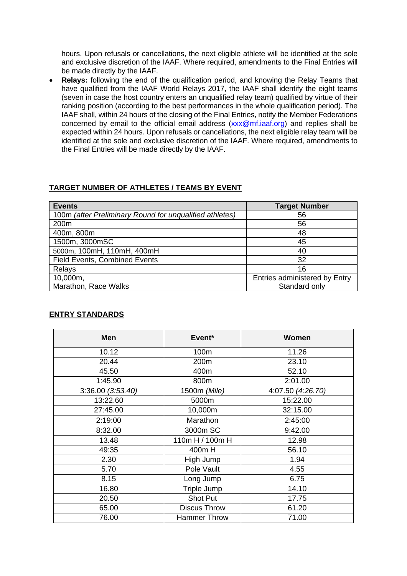hours. Upon refusals or cancellations, the next eligible athlete will be identified at the sole and exclusive discretion of the IAAF. Where required, amendments to the Final Entries will be made directly by the IAAF.

 **Relays:** following the end of the qualification period, and knowing the Relay Teams that have qualified from the IAAF World Relays 2017, the IAAF shall identify the eight teams (seven in case the host country enters an unqualified relay team) qualified by virtue of their ranking position (according to the best performances in the whole qualification period). The IAAF shall, within 24 hours of the closing of the Final Entries, notify the Member Federations concerned by email to the official email address (xxx@mf.iaaf.org) and replies shall be expected within 24 hours. Upon refusals or cancellations, the next eligible relay team will be identified at the sole and exclusive discretion of the IAAF. Where required, amendments to the Final Entries will be made directly by the IAAF.

# **TARGET NUMBER OF ATHLETES / TEAMS BY EVENT**

| <b>Events</b>                                           | <b>Target Number</b>          |
|---------------------------------------------------------|-------------------------------|
| 100m (after Preliminary Round for unqualified athletes) | 56                            |
| 200 <sub>m</sub>                                        | 56                            |
| 400m, 800m                                              | 48                            |
| 1500m, 3000mSC                                          | 45                            |
| 5000m, 100mH, 110mH, 400mH                              | 40                            |
| <b>Field Events, Combined Events</b>                    | 32                            |
| Relays                                                  | 16                            |
| 10,000m,                                                | Entries administered by Entry |
| Marathon, Race Walks                                    | Standard only                 |

# **ENTRY STANDARDS**

| Men               | Event <sup>*</sup>  | Women             |
|-------------------|---------------------|-------------------|
| 10.12             | 100m                | 11.26             |
| 20.44             | 200m                | 23.10             |
| 45.50             | 400m                | 52.10             |
| 1:45.90           | 800m                | 2:01.00           |
| 3:36.00 (3:53.40) | 1500m (Mile)        | 4:07.50 (4:26.70) |
| 13:22.60          | 5000m               | 15:22.00          |
| 27:45.00          | 10,000m             | 32:15.00          |
| 2:19:00           | Marathon            | 2:45:00           |
| 8:32.00           | 3000m SC            | 9:42.00           |
| 13.48             | 110m H / 100m H     | 12.98             |
| 49:35             | 400m H              | 56.10             |
| 2.30              | High Jump           | 1.94              |
| 5.70              | Pole Vault          | 4.55              |
| 8.15              | Long Jump           | 6.75              |
| 16.80             | Triple Jump         | 14.10             |
| 20.50             | Shot Put            | 17.75             |
| 65.00             | <b>Discus Throw</b> | 61.20             |
| 76.00             | <b>Hammer Throw</b> | 71.00             |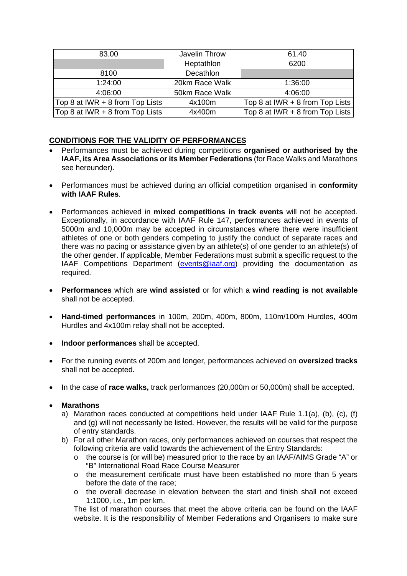| 83.00                           | Javelin Throw  | 61.40                             |
|---------------------------------|----------------|-----------------------------------|
|                                 | Heptathlon     | 6200                              |
| 8100                            | Decathlon      |                                   |
| 1:24:00                         | 20km Race Walk | 1:36:00                           |
| 4:06:00                         | 50km Race Walk | 4:06:00                           |
| Top 8 at IWR + 8 from Top Lists | 4x100m         | Top 8 at IWR + 8 from Top Lists   |
| Top 8 at IWR + 8 from Top Lists | 4x400m         | Top 8 at IWR $+$ 8 from Top Lists |

# **CONDITIONS FOR THE VALIDITY OF PERFORMANCES**

- Performances must be achieved during competitions **organised or authorised by the IAAF, its Area Associations or its Member Federations** (for Race Walks and Marathons see hereunder).
- Performances must be achieved during an official competition organised in **conformity with IAAF Rules**.
- Performances achieved in **mixed competitions in track events** will not be accepted. Exceptionally, in accordance with IAAF Rule 147, performances achieved in events of 5000m and 10,000m may be accepted in circumstances where there were insufficient athletes of one or both genders competing to justify the conduct of separate races and there was no pacing or assistance given by an athlete(s) of one gender to an athlete(s) of the other gender. If applicable, Member Federations must submit a specific request to the IAAF Competitions Department (events@iaaf.org) providing the documentation as required.
- **Performances** which are **wind assisted** or for which a **wind reading is not available** shall not be accepted.
- **Hand-timed performances** in 100m, 200m, 400m, 800m, 110m/100m Hurdles, 400m Hurdles and 4x100m relay shall not be accepted.
- **Indoor performances** shall be accepted.
- For the running events of 200m and longer, performances achieved on **oversized tracks** shall not be accepted.
- In the case of **race walks,** track performances (20,000m or 50,000m) shall be accepted.

# **Marathons**

- a) Marathon races conducted at competitions held under IAAF Rule 1.1(a), (b), (c), (f) and (g) will not necessarily be listed. However, the results will be valid for the purpose of entry standards.
- b) For all other Marathon races, only performances achieved on courses that respect the following criteria are valid towards the achievement of the Entry Standards:
	- o the course is (or will be) measured prior to the race by an IAAF/AIMS Grade "A" or "B" International Road Race Course Measurer
	- o the measurement certificate must have been established no more than 5 years before the date of the race;
	- o the overall decrease in elevation between the start and finish shall not exceed 1:1000, i.e., 1m per km.

The list of marathon courses that meet the above criteria can be found on the IAAF website. It is the responsibility of Member Federations and Organisers to make sure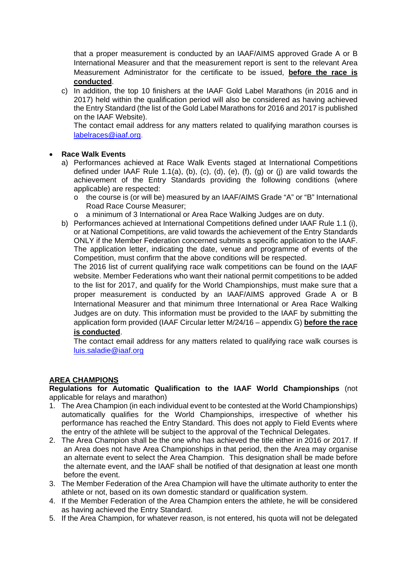that a proper measurement is conducted by an IAAF/AIMS approved Grade A or B International Measurer and that the measurement report is sent to the relevant Area Measurement Administrator for the certificate to be issued, **before the race is conducted**.

c) In addition, the top 10 finishers at the IAAF Gold Label Marathons (in 2016 and in 2017) held within the qualification period will also be considered as having achieved the Entry Standard (the list of the Gold Label Marathons for 2016 and 2017 is published on the IAAF Website).

The contact email address for any matters related to qualifying marathon courses is labelraces@iaaf.org.

# **Race Walk Events**

- a) Performances achieved at Race Walk Events staged at International Competitions defined under IAAF Rule 1.1(a), (b), (c), (d), (e),  $(f)$ , (g) or (j) are valid towards the achievement of the Entry Standards providing the following conditions (where applicable) are respected:
	- o the course is (or will be) measured by an IAAF/AIMS Grade "A" or "B" International Road Race Course Measurer;
	- a minimum of 3 International or Area Race Walking Judges are on duty.
- b) Performances achieved at International Competitions defined under IAAF Rule 1.1 (i), or at National Competitions, are valid towards the achievement of the Entry Standards ONLY if the Member Federation concerned submits a specific application to the IAAF. The application letter, indicating the date, venue and programme of events of the Competition, must confirm that the above conditions will be respected.

The 2016 list of current qualifying race walk competitions can be found on the IAAF website. Member Federations who want their national permit competitions to be added to the list for 2017, and qualify for the World Championships, must make sure that a proper measurement is conducted by an IAAF/AIMS approved Grade A or B International Measurer and that minimum three International or Area Race Walking Judges are on duty. This information must be provided to the IAAF by submitting the application form provided (IAAF Circular letter M/24/16 – appendix G) **before the race is conducted**.

The contact email address for any matters related to qualifying race walk courses is luis.saladie@iaaf.org

# **AREA CHAMPIONS**

**Regulations for Automatic Qualification to the IAAF World Championships** (not applicable for relays and marathon)

- 1. The Area Champion (in each individual event to be contested at the World Championships) automatically qualifies for the World Championships, irrespective of whether his performance has reached the Entry Standard. This does not apply to Field Events where the entry of the athlete will be subject to the approval of the Technical Delegates.
- 2. The Area Champion shall be the one who has achieved the title either in 2016 or 2017. If an Area does not have Area Championships in that period, then the Area may organise an alternate event to select the Area Champion. This designation shall be made before the alternate event, and the IAAF shall be notified of that designation at least one month before the event.
- 3. The Member Federation of the Area Champion will have the ultimate authority to enter the athlete or not, based on its own domestic standard or qualification system.
- 4. If the Member Federation of the Area Champion enters the athlete, he will be considered as having achieved the Entry Standard.
- 5. If the Area Champion, for whatever reason, is not entered, his quota will not be delegated